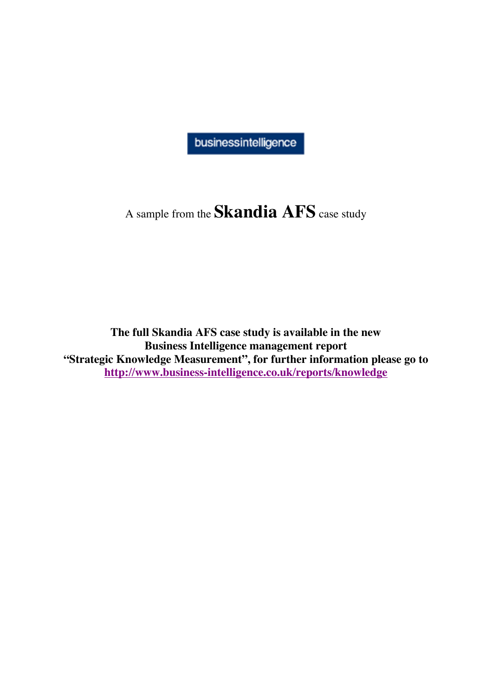businessintelligence

# A sample from the **Skandia AFS** case study

**The full Skandia AFS case study is available in the new Business Intelligence management report "Strategic Knowledge Measurement", for further information please go to <http://www.business-intelligence.co.uk/reports/knowledge>**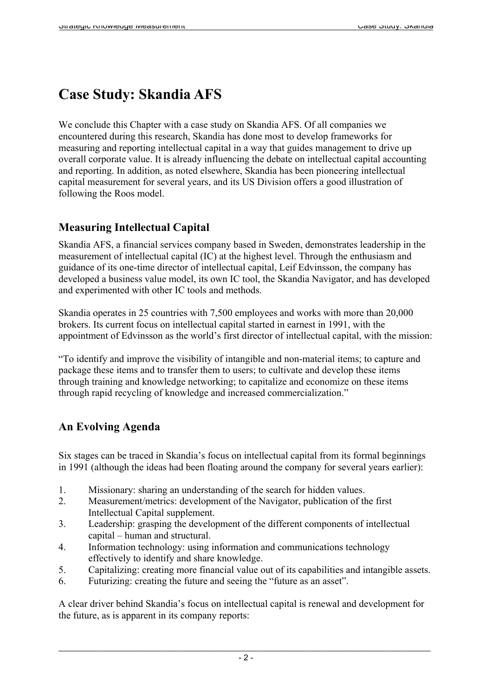## **Case Study: Skandia AFS**

We conclude this Chapter with a case study on Skandia AFS. Of all companies we encountered during this research, Skandia has done most to develop frameworks for measuring and reporting intellectual capital in a way that guides management to drive up overall corporate value. It is already influencing the debate on intellectual capital accounting and reporting. In addition, as noted elsewhere, Skandia has been pioneering intellectual capital measurement for several years, and its US Division offers a good illustration of following the Roos model.

#### **Measuring Intellectual Capital**

Skandia AFS, a financial services company based in Sweden, demonstrates leadership in the measurement of intellectual capital (IC) at the highest level. Through the enthusiasm and guidance of its one-time director of intellectual capital, Leif Edvinsson, the company has developed a business value model, its own IC tool, the Skandia Navigator, and has developed and experimented with other IC tools and methods.

Skandia operates in 25 countries with 7,500 employees and works with more than 20,000 brokers. Its current focus on intellectual capital started in earnest in 1991, with the appointment of Edvinsson as the world's first director of intellectual capital, with the mission:

"To identify and improve the visibility of intangible and non-material items; to capture and package these items and to transfer them to users; to cultivate and develop these items through training and knowledge networking; to capitalize and economize on these items through rapid recycling of knowledge and increased commercialization."

### **An Evolving Agenda**

Six stages can be traced in Skandia's focus on intellectual capital from its formal beginnings in 1991 (although the ideas had been floating around the company for several years earlier):

- 1. Missionary: sharing an understanding of the search for hidden values.
- 2. Measurement/metrics: development of the Navigator, publication of the first Intellectual Capital supplement.
- 3. Leadership: grasping the development of the different components of intellectual capital – human and structural.
- 4. Information technology: using information and communications technology effectively to identify and share knowledge.
- 5. Capitalizing: creating more financial value out of its capabilities and intangible assets.
- 6. Futurizing: creating the future and seeing the "future as an asset".

A clear driver behind Skandia's focus on intellectual capital is renewal and development for the future, as is apparent in its company reports: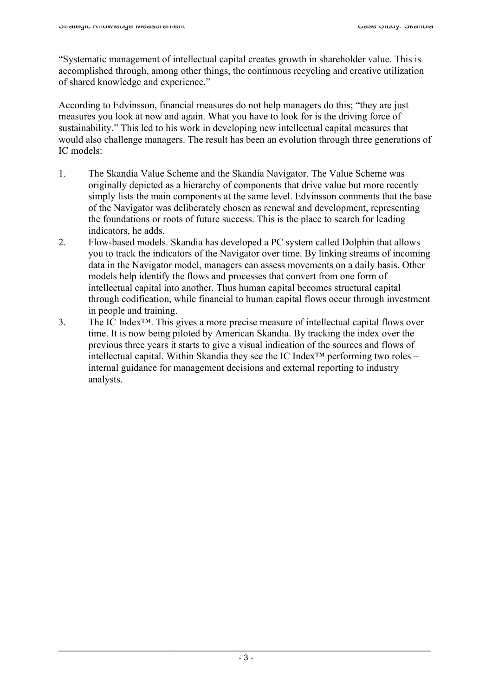"Systematic management of intellectual capital creates growth in shareholder value. This is accomplished through, among other things, the continuous recycling and creative utilization of shared knowledge and experience."

According to Edvinsson, financial measures do not help managers do this; "they are just measures you look at now and again. What you have to look for is the driving force of sustainability." This led to his work in developing new intellectual capital measures that would also challenge managers. The result has been an evolution through three generations of IC models:

- 1. The Skandia Value Scheme and the Skandia Navigator. The Value Scheme was originally depicted as a hierarchy of components that drive value but more recently simply lists the main components at the same level. Edvinsson comments that the base of the Navigator was deliberately chosen as renewal and development, representing the foundations or roots of future success. This is the place to search for leading indicators, he adds.
- 2. Flow-based models. Skandia has developed a PC system called Dolphin that allows you to track the indicators of the Navigator over time. By linking streams of incoming data in the Navigator model, managers can assess movements on a daily basis. Other models help identify the flows and processes that convert from one form of intellectual capital into another. Thus human capital becomes structural capital through codification, while financial to human capital flows occur through investment in people and training.
- 3. The IC Index™. This gives a more precise measure of intellectual capital flows over time. It is now being piloted by American Skandia. By tracking the index over the previous three years it starts to give a visual indication of the sources and flows of intellectual capital. Within Skandia they see the IC Index<sup>™</sup> performing two roles – internal guidance for management decisions and external reporting to industry analysts.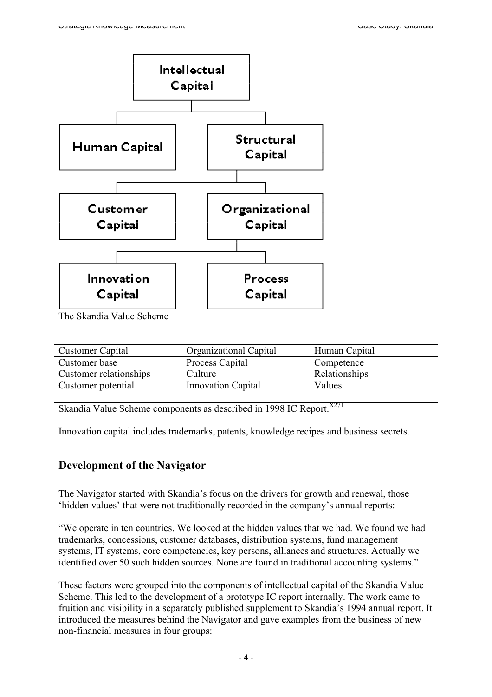

The Skandia Value Scheme

| <b>Customer Capital</b> | <b>Organizational Capital</b> | Human Capital |
|-------------------------|-------------------------------|---------------|
| Customer base           | Process Capital               | Competence    |
| Customer relationships  | Culture                       | Relationships |
| Customer potential      | <b>Innovation Capital</b>     | Values        |
|                         |                               |               |

Skandia Value Scheme components as described in 1998 IC Report.<sup>X271</sup>

Innovation capital includes trademarks, patents, knowledge recipes and business secrets.

#### **Development of the Navigator**

The Navigator started with Skandia's focus on the drivers for growth and renewal, those 'hidden values' that were not traditionally recorded in the company's annual reports:

"We operate in ten countries. We looked at the hidden values that we had. We found we had trademarks, concessions, customer databases, distribution systems, fund management systems, IT systems, core competencies, key persons, alliances and structures. Actually we identified over 50 such hidden sources. None are found in traditional accounting systems."

These factors were grouped into the components of intellectual capital of the Skandia Value Scheme. This led to the development of a prototype IC report internally. The work came to fruition and visibility in a separately published supplement to Skandia's 1994 annual report. It introduced the measures behind the Navigator and gave examples from the business of new non-financial measures in four groups: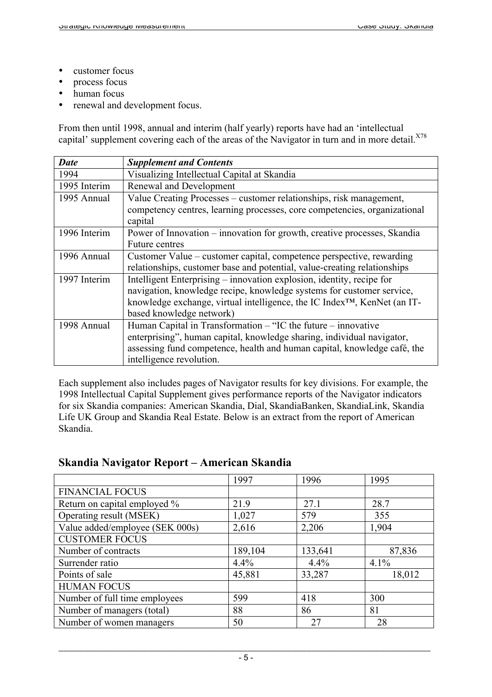- customer focus
- process focus
- human focus
- renewal and development focus.

From then until 1998, annual and interim (half yearly) reports have had an 'intellectual capital' supplement covering each of the areas of the Navigator in turn and in more detail.<sup>X78</sup>

| <b>Date</b>  | <b>Supplement and Contents</b>                                                        |  |  |  |  |
|--------------|---------------------------------------------------------------------------------------|--|--|--|--|
| 1994         | Visualizing Intellectual Capital at Skandia                                           |  |  |  |  |
| 1995 Interim | Renewal and Development                                                               |  |  |  |  |
| 1995 Annual  | Value Creating Processes – customer relationships, risk management,                   |  |  |  |  |
|              | competency centres, learning processes, core competencies, organizational             |  |  |  |  |
|              | capital                                                                               |  |  |  |  |
| 1996 Interim | Power of Innovation – innovation for growth, creative processes, Skandia              |  |  |  |  |
|              | <b>Future centres</b>                                                                 |  |  |  |  |
| 1996 Annual  | Customer Value – customer capital, competence perspective, rewarding                  |  |  |  |  |
|              | relationships, customer base and potential, value-creating relationships              |  |  |  |  |
| 1997 Interim | Intelligent Enterprising – innovation explosion, identity, recipe for                 |  |  |  |  |
|              | navigation, knowledge recipe, knowledge systems for customer service,                 |  |  |  |  |
|              | knowledge exchange, virtual intelligence, the IC Index <sup>TM</sup> , KenNet (an IT- |  |  |  |  |
|              | based knowledge network)                                                              |  |  |  |  |
| 1998 Annual  | Human Capital in Transformation – "IC the future – innovative                         |  |  |  |  |
|              | enterprising", human capital, knowledge sharing, individual navigator,                |  |  |  |  |
|              | assessing fund competence, health and human capital, knowledge café, the              |  |  |  |  |
|              | intelligence revolution.                                                              |  |  |  |  |

Each supplement also includes pages of Navigator results for key divisions. For example, the 1998 Intellectual Capital Supplement gives performance reports of the Navigator indicators for six Skandia companies: American Skandia, Dial, SkandiaBanken, SkandiaLink, Skandia Life UK Group and Skandia Real Estate. Below is an extract from the report of American Skandia.

#### **Skandia Navigator Report – American Skandia**

|                                 | 1997    | 1996    | 1995   |
|---------------------------------|---------|---------|--------|
| <b>FINANCIAL FOCUS</b>          |         |         |        |
| Return on capital employed %    | 21.9    | 27.1    | 28.7   |
| Operating result (MSEK)         | 1,027   | 579     | 355    |
| Value added/employee (SEK 000s) | 2,616   | 2,206   | 1,904  |
| <b>CUSTOMER FOCUS</b>           |         |         |        |
| Number of contracts             | 189,104 | 133,641 | 87,836 |
| Surrender ratio                 | 4.4%    | 4.4%    | 4.1%   |
| Points of sale                  | 45,881  | 33,287  | 18,012 |
| <b>HUMAN FOCUS</b>              |         |         |        |
| Number of full time employees   | 599     | 418     | 300    |
| Number of managers (total)      | 88      | 86      | 81     |
| Number of women managers        | 50      | 27      | 28     |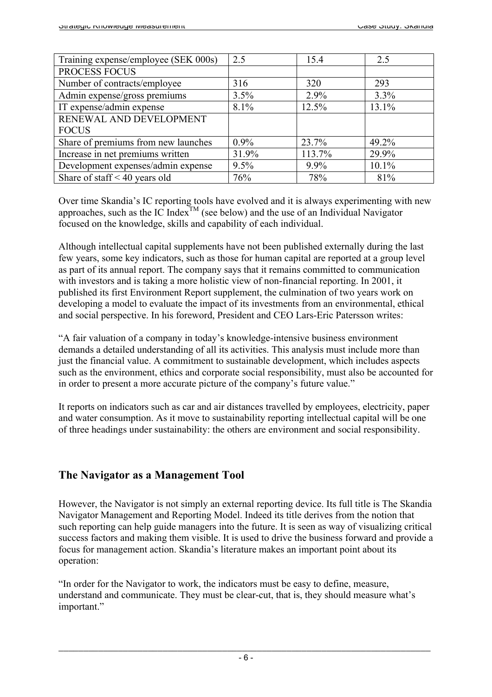| Training expense/employee (SEK 000s) | 2.5     | 15.4    | 2.5   |
|--------------------------------------|---------|---------|-------|
| PROCESS FOCUS                        |         |         |       |
| Number of contracts/employee         | 316     | 320     | 293   |
| Admin expense/gross premiums         | 3.5%    | 2.9%    | 3.3%  |
| IT expense/admin expense             | 8.1%    | 12.5%   | 13.1% |
| RENEWAL AND DEVELOPMENT              |         |         |       |
| <b>FOCUS</b>                         |         |         |       |
| Share of premiums from new launches  | $0.9\%$ | 23.7%   | 49.2% |
| Increase in net premiums written     | 31.9%   | 113.7%  | 29.9% |
| Development expenses/admin expense   | 9.5%    | $9.9\%$ | 10.1% |
| Share of staff $\leq 40$ years old   | 76%     | 78%     | 81%   |

Over time Skandia's IC reporting tools have evolved and it is always experimenting with new approaches, such as the IC Index<sup>TM</sup> (see below) and the use of an Individual Navigator focused on the knowledge, skills and capability of each individual.

Although intellectual capital supplements have not been published externally during the last few years, some key indicators, such as those for human capital are reported at a group level as part of its annual report. The company says that it remains committed to communication with investors and is taking a more holistic view of non-financial reporting. In 2001, it published its first Environment Report supplement, the culmination of two years work on developing a model to evaluate the impact of its investments from an environmental, ethical and social perspective. In his foreword, President and CEO Lars-Eric Patersson writes:

"A fair valuation of a company in today's knowledge-intensive business environment demands a detailed understanding of all its activities. This analysis must include more than just the financial value. A commitment to sustainable development, which includes aspects such as the environment, ethics and corporate social responsibility, must also be accounted for in order to present a more accurate picture of the company's future value."

It reports on indicators such as car and air distances travelled by employees, electricity, paper and water consumption. As it move to sustainability reporting intellectual capital will be one of three headings under sustainability: the others are environment and social responsibility.

### **The Navigator as a Management Tool**

However, the Navigator is not simply an external reporting device. Its full title is The Skandia Navigator Management and Reporting Model. Indeed its title derives from the notion that such reporting can help guide managers into the future. It is seen as way of visualizing critical success factors and making them visible. It is used to drive the business forward and provide a focus for management action. Skandia's literature makes an important point about its operation:

"In order for the Navigator to work, the indicators must be easy to define, measure, understand and communicate. They must be clear-cut, that is, they should measure what's important."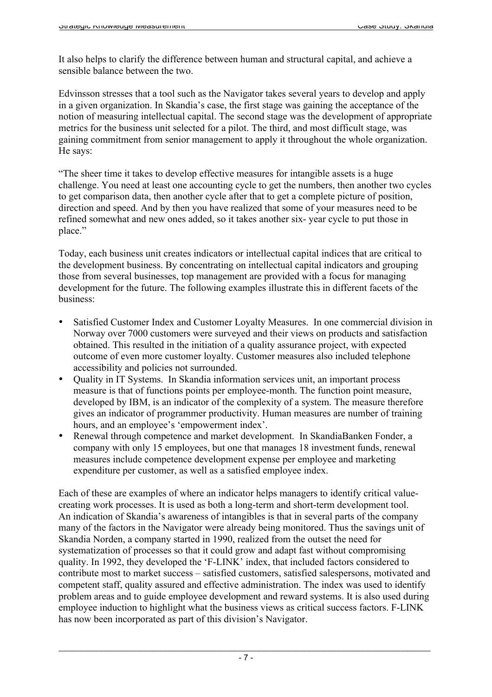It also helps to clarify the difference between human and structural capital, and achieve a sensible balance between the two.

Edvinsson stresses that a tool such as the Navigator takes several years to develop and apply in a given organization. In Skandia's case, the first stage was gaining the acceptance of the notion of measuring intellectual capital. The second stage was the development of appropriate metrics for the business unit selected for a pilot. The third, and most difficult stage, was gaining commitment from senior management to apply it throughout the whole organization. He says:

"The sheer time it takes to develop effective measures for intangible assets is a huge challenge. You need at least one accounting cycle to get the numbers, then another two cycles to get comparison data, then another cycle after that to get a complete picture of position, direction and speed. And by then you have realized that some of your measures need to be refined somewhat and new ones added, so it takes another six- year cycle to put those in place."

Today, each business unit creates indicators or intellectual capital indices that are critical to the development business. By concentrating on intellectual capital indicators and grouping those from several businesses, top management are provided with a focus for managing development for the future. The following examples illustrate this in different facets of the business:

- Satisfied Customer Index and Customer Loyalty Measures. In one commercial division in Norway over 7000 customers were surveyed and their views on products and satisfaction obtained. This resulted in the initiation of a quality assurance project, with expected outcome of even more customer loyalty. Customer measures also included telephone accessibility and policies not surrounded.
- Quality in IT Systems. In Skandia information services unit, an important process measure is that of functions points per employee-month. The function point measure, developed by IBM, is an indicator of the complexity of a system. The measure therefore gives an indicator of programmer productivity. Human measures are number of training hours, and an employee's 'empowerment index'.
- Renewal through competence and market development. In SkandiaBanken Fonder, a company with only 15 employees, but one that manages 18 investment funds, renewal measures include competence development expense per employee and marketing expenditure per customer, as well as a satisfied employee index.

Each of these are examples of where an indicator helps managers to identify critical valuecreating work processes. It is used as both a long-term and short-term development tool. An indication of Skandia's awareness of intangibles is that in several parts of the company many of the factors in the Navigator were already being monitored. Thus the savings unit of Skandia Norden, a company started in 1990, realized from the outset the need for systematization of processes so that it could grow and adapt fast without compromising quality. In 1992, they developed the 'F-LINK' index, that included factors considered to contribute most to market success – satisfied customers, satisfied salespersons, motivated and competent staff, quality assured and effective administration. The index was used to identify problem areas and to guide employee development and reward systems. It is also used during employee induction to highlight what the business views as critical success factors. F-LINK has now been incorporated as part of this division's Navigator.